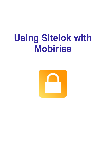# **Using Sitelok with Mobirise**

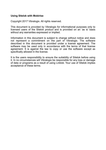#### **Using Sitelok with Mobirise**

Copyright 2017 Vibralogix. All rights reserved.

This document is provided by Vibralogix for informational purposes only to licensed users of the Sitelok product and is provided on an 'as is' basis without any warranties expressed or implied.

Information in this document is subject to change without notice and does not represent a commitment on the part of Vibralogix. The software described in this document is provided under a license agreement. The software may be used only in accordance with the terms of that license agreement. It is against the law to copy or use the software except as specifically allowed in the license.

It is the users responsibility to ensure the suitability of Sitelok before using it. In no circumstances will Vibralogix be responsible for any loss or damage of data or programs as a result of using Linklok. Your use of Sitelok implies acceptance of these terms.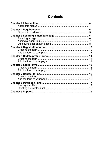### **Contents**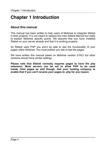# <span id="page-3-0"></span>**Chapter 1 Introduction**

### <span id="page-3-1"></span>**About this manual**

This manual has been written to help users of Mobirise to integrate Sitelok in their projects. It is not meant to replace the main Sitelok Manual but really to explain Mobirise specific points. We assume that you have installed Sitelok on your server already and that it is working properly.

As Sitelok uses PHP you won't be able to test the functionality of your pages within Mobirise. You must publish you site to test the pages.

We have written this manual based on Mobirise version 3.09.2 but other versions should have similar settings.

**Please note that Sitelok normally requires pages to have the php extension. Most servers can be set to allow PHP to be used inside .html pages as well though. Ask your hosting company to enable that if you can't rename your pages to .php for any reason.**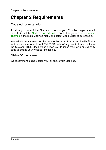# <span id="page-4-0"></span>**Chapter 2 Requirements**

### <span id="page-4-1"></span>**Code editor extension**

To allow you to add the Sitelok snippets to your Mobirise pages you will need to install the Code Editor Extension. To do this go to Extensions and Themes in the main Mobirise menu and select Code Editor to purchase it.

You will find many uses for the code editor apart from using it with Sitelok as it allows you to edit the HTML/CSS code of any block. It also includes the Custom HTML Block which allows you to insert your own or 3rd party code to extend your website functionality.

#### **Sitelok V5.1 or above**

We recommend using Sitelok V5.1 or above with Mobirise.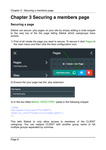# <span id="page-5-0"></span>**Chapter 3 Securing a members page**

### <span id="page-5-1"></span>**Securing a page**

Sitelok can secure .php pages on your site by simply adding a code snippet to the very top of the the page telling Sitelok which usergroups have access.

1) First of all create the page you want to secure. To secure it click Pages in the main menu and then click the blue configuration icon.



2) Ensure the your page has the .php extension.



3) In the box titled Before <!DOCTYPE> paste in the following snippet.

```
<?php
$groupswithaccess="CLIENT";
require once("slpw/sitelokpw.php");
?>
```
This tells Sitelok to only allow access to members of the CLIENT usergroup. You can replace CLIENT with another group name or list multiple groups separated by commas.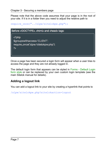Please note that the above code assumes that your page is in the root of your site. If it is in a folder then you need to adjust the relative path to

```
require once("../slpw/sitelokpw.php");
```


Once a page has been secured a login form will appear when a user tries to access the page and they are not already logged in.

The default login form that appears can be styled in Forms - Default Login form style or can be replaced by your own custom login template (see the main Sitelok manual for details).

### <span id="page-6-0"></span>**Adding a logout link**

You can add a logout link to your site by creating a hyperlink that points to

/slpw/sitelokpw.php?sitelokaction=logout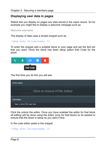### <span id="page-7-0"></span>**Displaying user data in pages**

Sitelok lets you display on pages any data stored in the users record. So for example you might like to display a welcome message such as

Welcome username

The display of data uses a simple snippet such as

```
<?php echo $slusername; ?>
```
To enter the snippet add a suitable block to your page and set the text etc that you want. Once the block has been setup select Edit Code for the block.



The first time you do this you will see



Click the unlock the editor. Once you have enabled the editor for that block all editing will be done using the editor (only for that block) so its easiest to ensure that the block is setup as you want it first.

In the code editor paste in the snippet

```
<?php echo $slusername; ?>
```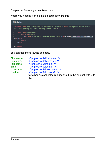where you need it. For example it could look like this



You can use the following snippets.

| First name          | php echo \$slfirstname; ?                                      |
|---------------------|----------------------------------------------------------------|
| Last name           | php echo \$sllastname; ?                                       |
| Full name           | php echo \$slname; ?                                           |
| Email               | php echo \$slemail; ?                                          |
| Username            | php echo \$slusername; ?                                       |
| Custom <sub>1</sub> | php echo \$slcustom1; ?                                        |
|                     | for other custom fields replace the 1 in the snippet with 2 to |
|                     | 50.                                                            |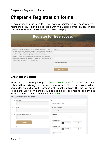### <span id="page-9-0"></span>**Chapter 4 Registration forms**

A registration form is used to allow users to register for free access to your members area. It can also be used with the Sitelok Paypal plugin for paid access too. Here is an example on a Mobirise page.

|                                                                                                                                                                                                                                                                                                                                                                                                                                                                                  | <b>Register for free access</b>                                        |
|----------------------------------------------------------------------------------------------------------------------------------------------------------------------------------------------------------------------------------------------------------------------------------------------------------------------------------------------------------------------------------------------------------------------------------------------------------------------------------|------------------------------------------------------------------------|
| Make your own website in a few clicks! Mobirise helps you cut down<br>development time by providing you with a flexible website editor with<br>a drag and drop interface. MobiRise Website Builder creates<br>responsive, retina and mobile friendly websites in a few clicks.<br>Mobirise is one of the easiest website development tools available<br>today. It also gives you the freedom to develop as many websites as<br>you like given the fact that it is a desktop app. | Full name*<br>Email*<br>Where did you hear about us<br><b>REGISTER</b> |

### <span id="page-9-1"></span>**Creating the form**

In the Sitelok control panel go to Tools - Registration forms. Here you can either edit an existing form or create a new one. The form designer allows you to design and style the form as well as setting things like the usergroup to add the user to, the thankyou page and also the email to be sent out. When the form is how you want it click Save.

| Registration form designer form id: 1 | <b>@</b> Dashboard > Registration forms > Registration form designer |
|---------------------------------------|----------------------------------------------------------------------|
| 区关<br>Full name*                      | ×<br>Form name                                                       |
|                                       | Example for register.php                                             |
| $\alpha$ $\alpha$<br>Email*           | + Form properties                                                    |
|                                       | - Form style                                                         |
| 区义<br>Where did you hear about us     | Font type                                                            |
|                                       | Arial<br>٠                                                           |
|                                       | Input label style                                                    |
| <b>REGISTER</b>                       | $\circ$ px<br>#3A3A3A<br>14<br>normal *                              |
| ÷                                     | Input text style                                                     |
|                                       | $\frac{1}{x}$ px<br>#737373<br>14<br>normal *                        |
|                                       | Input background color<br>$\overline{\phantom{a}}$                   |
|                                       |                                                                      |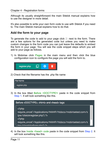Although its usually straightforward the main Sitelok manual explains how to use the designer in more detail.

It's also possible to write your own form code to use with Sitelok if you need to. The main Sitelok manual explains how to do that.

#### <span id="page-10-0"></span>**Add the form to your page**

To generate the code to add to your page click  $\Box$  next to the form. There are a few options for the generated code but unless you need to make custom changes to the form code you can just leave the defaults to embed the form in your page. You will see the code snippet steps which you will add to your page as follows.

1) In Mobirise click Pages in the main menu and then click the blue configuration icon to configure the page you will add the form to.



2) Check that the filename has the .php file name

| File Name:   |  |
|--------------|--|
| register.php |  |
|              |  |

3) In the box titled Before <DOCTYPE!> paste in the code snippet from Step 1. It will look something like this.



4) In the box Inside <head> code paste in the code snippet from Step 2. It will look something like this.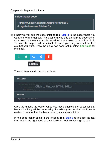

5) Finally we will add the code snippet from Step 3 to the page where you want the form to appear. The block that you add the form to depends on your needs but in our example we added it to a two column article block. To enter the snippet add a suitable block to your page and set the text etc that you want. Once the block has been setup select Edit Code for the block.



The first time you do this you will see

| <b>HTML Editor:</b>                                                                                                                                                                                                                                                                                                                                                             |
|---------------------------------------------------------------------------------------------------------------------------------------------------------------------------------------------------------------------------------------------------------------------------------------------------------------------------------------------------------------------------------|
| 1v <section class="mbr-section article mbr-section__container" style="background-color: rgb(255, 255, 255); padding&lt;br&gt;top: 20px; padding-bottom: 20px;"><br/><b>Click to Unlock HTML Editor</b><br/><div class="container&lt;br&gt;&lt;div class=" row"=""><br/>"col-xs-12 lead mhr-editable-full"&gt;cosMake your own website in a few clicks! Mobirise</div></section> |
| <b>CSS Editor:</b>                                                                                                                                                                                                                                                                                                                                                              |
| Type a valid CSS code here                                                                                                                                                                                                                                                                                                                                                      |

Click the unlock the editor. Once you have enabled the editor for that block all editing will be done using the editor (only for that block) so its easiest to ensure that the block is setup as you want it first.

In the code editor paste in the snippet from  $Step\ 3$  to replace the text that was in the right hand column. It will will look something like this.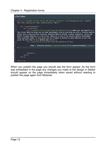#### Chapter 4 - Registration forms



When you publish the page you should see the form appear. As the form was embedded in the page any changes you make to the design in Sitelok should appear on the page immediately when saved without needing to publish the page again from Mobirise.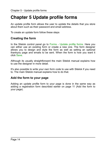## <span id="page-13-0"></span>**Chapter 5 Update profile forms**

An update profile form allows the user to update the details that you store about them such as their password and email address.

To create an update form follow these steps

### <span id="page-13-1"></span>**Creating the form**

In the Sitelok control panel go to Forms - Update profile forms. Here you can either use an existing form or create a new one. The form designer allows you to design and style the form as well as setting an optional thankyou page and emails to be sent. When the form is how you want it click Save.

Although its usually straightforward the main Sitelok manual explains how to use the designer in more detail.

It's also possible to write your own form code to use with Sitelok if you need to. The main Sitelok manual explains how to do that.

### <span id="page-13-2"></span>**Add the form to your page**

Adding an update profile form to your page is done in the same way as adding a registration form described earlier on page 11 (Add the form to your page).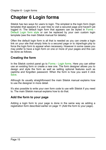### <span id="page-14-0"></span>**Chapter 6 Login forms**

Sitelok has two ways for users to login. The simplest is the login form (login template) that appears if a user tries to visit a secured page and haven't yet logged in. The default login form that appears can be styled in Forms - Default Login form style or can be replaced by your own custom login template (see the main Sitelok manual for details).

Often the default login form is all that is needed as you can create a login link on your site that simply links to a secured page or to /slpw/login.php to force the login form to appear when necessary. However in some cases you may prefer to have a login form on one or more of your pages and this can be done as follows.

#### <span id="page-14-1"></span>**Creating the form**

In the Sitelok control panel go to Forms - Login forms. Here you can either use an existing form or create a new one. The form designer allows you to design and style the form as well as setting optional features such as captcha and forgotten password. When the form is how you want it click Save.

Although its usually straightforward the main Sitelok manual explains how to use the designer in more detail.

It's also possible to write your own form code to use with Sitelok if you need to. The main Sitelok manual explains how to do that.

#### <span id="page-14-2"></span>**Add the form to your page**

Adding a login form to your page is done in the same way as adding a registration form described earlier on page 11 (Add the form to your page).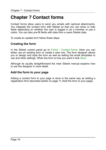### <span id="page-15-0"></span>**Chapter 7 Contact forms**

Contact forms allow users to send you emails with optional attachments. You integrate the contact form with Sitelok so that you can show or hide fields depending on whether the user is logged in as a member or just a visitor. You can also pre-fill fields with data from a users Sitelok data.

To create an update form follow these steps

### <span id="page-15-1"></span>**Creating the form**

In the Sitelok control panel go to Forms - Contact forms. Here you can either use an existing form or create a new one. The form designer allows you to design and style the form as well as setting the email templates to use and other settings. When the form is how you want it click Save.

Although its usually straightforward the main Sitelok manual explains how to use the designer in more detail.

#### <span id="page-15-2"></span>**Add the form to your page**

Adding a contact form to your page is done in the same way as adding a registration form described earlier on page 11 (Add the form to your page).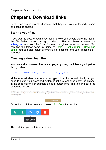# <span id="page-16-0"></span>**Chapter 8 Download links**

Sitelok can secure download links so that they only work for logged in users and can't be shared.

### <span id="page-16-1"></span>**Storing your files**

If you want to secure downloads using Sitelok you should store the files in the file folder created during installation. This will have a name like slfiles xxxx and won't be found by search engines, robots or hackers. You can find the folder name by going to Tools - Configuration - Download paths. You can also setup alternative file locations and use Amazon S3 if you wish.

### <span id="page-16-2"></span>**Creating a download link**

You can add a download link in your page by using the following snippet as the hyperlink.

<?php;siteloklink('testfile.zip',1);?>

Mobirise won't allow you to enter a hyperlink in that format directly so you need to setup your download button or link first and then enter the snippet in the code editor. For example setup a button block like this and style the button as needed.



**DOWNLOAD NOW** 

Once the block has been setup select Edit Code for the block.



The first time you do this you will see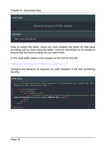

Click to unlock the editor. Once you have enabled the editor for that block all editing will be done using the editor (only for that block) so its easiest to ensure that the block is setup as you want it first.

In the code editor paste in the snippet as the href for the link.

#### <?php;siteloklink('testfile.zip',1);?>

changing the filename as required (no path needed). It will look something like this.

| <b>HTML Editor:</b>                                                                                                                                                                                        |
|------------------------------------------------------------------------------------------------------------------------------------------------------------------------------------------------------------|
| $1$ $\star$ <section class="mbr-section mbr-section_container" style="background-color: rgb(255, 255, 255);&lt;br&gt;padding-top: 20px; padding-bottom: 20px;"><br/><math>\frac{2}{3}</math></section>     |
| <div class="container"></div>                                                                                                                                                                              |
| $4 -$<br><div class="row"></div>                                                                                                                                                                           |
| $5 -$<br><div class="col-xs-12"></div>                                                                                                                                                                     |
| $6 -$<br><div class="text-xs-center"><a class="btn btn-primary mbr-editable-button" href="&lt;/td&gt;&lt;/tr&gt;&lt;tr&gt;&lt;td&gt;&lt;?php siteloklink('testfile.zip',1);?&gt;;">DOWNLOAD NOW</a> </div> |
| $\overline{\phantom{a}}$<br>$\triangle$ /div                                                                                                                                                               |
| $\boldsymbol{8}$<br>$\frac{d}{dx}$                                                                                                                                                                         |
| $\overline{9}$<br>$\frac{d}{dx}$                                                                                                                                                                           |
| 10                                                                                                                                                                                                         |
|                                                                                                                                                                                                            |